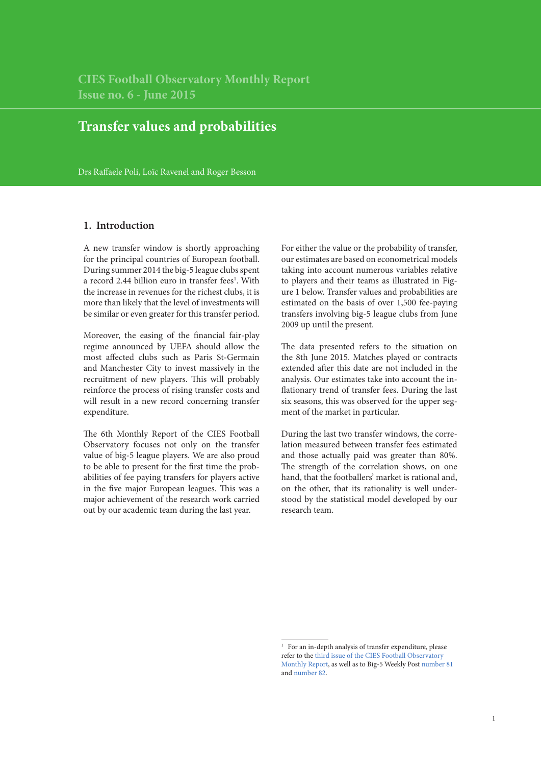**CIES Football Observatory Monthly Report Issue no. 6 - June 2015**

# **Transfer values and probabilities**

Drs Raffaele Poli, Loïc Ravenel and Roger Besson

## **1. Introduction**

A new transfer window is shortly approaching for the principal countries of European football. During summer 2014 the big-5 league clubs spent a record 2.44 billion euro in transfer fees<sup>1</sup>. With the increase in revenues for the richest clubs, it is more than likely that the level of investments will be similar or even greater for this transfer period.

Moreover, the easing of the financial fair-play regime announced by UEFA should allow the most affected clubs such as Paris St-Germain and Manchester City to invest massively in the recruitment of new players. This will probably reinforce the process of rising transfer costs and will result in a new record concerning transfer expenditure.

The 6th Monthly Report of the CIES Football Observatory focuses not only on the transfer value of big-5 league players. We are also proud to be able to present for the first time the probabilities of fee paying transfers for players active in the five major European leagues. This was a major achievement of the research work carried out by our academic team during the last year.

For either the value or the probability of transfer, our estimates are based on econometrical models taking into account numerous variables relative to players and their teams as illustrated in Figure 1 below. Transfer values and probabilities are estimated on the basis of over 1,500 fee-paying transfers involving big-5 league clubs from June 2009 up until the present.

The data presented refers to the situation on the 8th June 2015. Matches played or contracts extended after this date are not included in the analysis. Our estimates take into account the inflationary trend of transfer fees. During the last six seasons, this was observed for the upper segment of the market in particular.

During the last two transfer windows, the correlation measured between transfer fees estimated and those actually paid was greater than 80%. The strength of the correlation shows, on one hand, that the footballers' market is rational and, on the other, that its rationality is well understood by the statistical model developed by our research team.

<sup>&</sup>lt;sup>1</sup> For an in-depth analysis of transfer expenditure, please refer to the [third issue of the CIES Football Observatory](http://www.football-observatory.com/IMG/pdf/mr03_eng.pdf)  [Monthly Report](http://www.football-observatory.com/IMG/pdf/mr03_eng.pdf), as well as to Big-5 Weekly Post [number 81](http://www.football-observatory.com/IMG/pdf/wp81_eng.pdf) and [number 82](http://www.football-observatory.com/IMG/pdf/wp82_eng.pdf).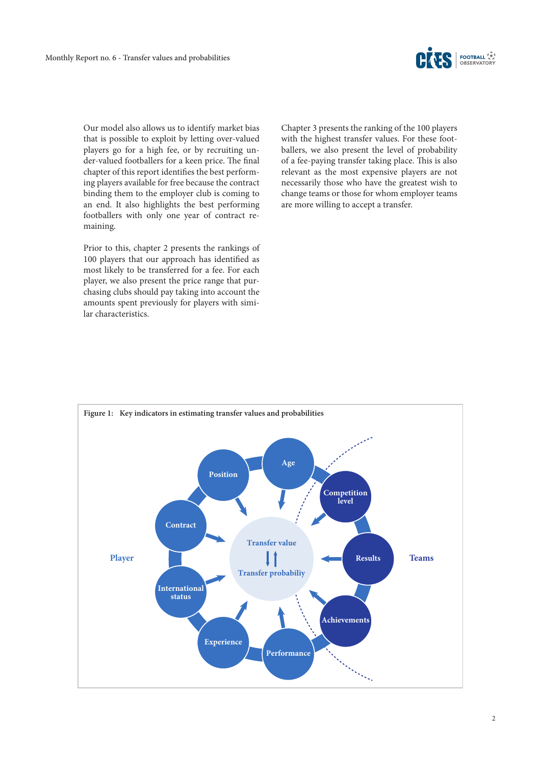

Our model also allows us to identify market bias that is possible to exploit by letting over-valued players go for a high fee, or by recruiting under-valued footballers for a keen price. The final chapter of this report identifies the best performing players available for free because the contract binding them to the employer club is coming to an end. It also highlights the best performing footballers with only one year of contract remaining.

Prior to this, chapter 2 presents the rankings of 100 players that our approach has identified as most likely to be transferred for a fee. For each player, we also present the price range that purchasing clubs should pay taking into account the amounts spent previously for players with similar characteristics.

Chapter 3 presents the ranking of the 100 players with the highest transfer values. For these footballers, we also present the level of probability of a fee-paying transfer taking place. This is also relevant as the most expensive players are not necessarily those who have the greatest wish to change teams or those for whom employer teams are more willing to accept a transfer.

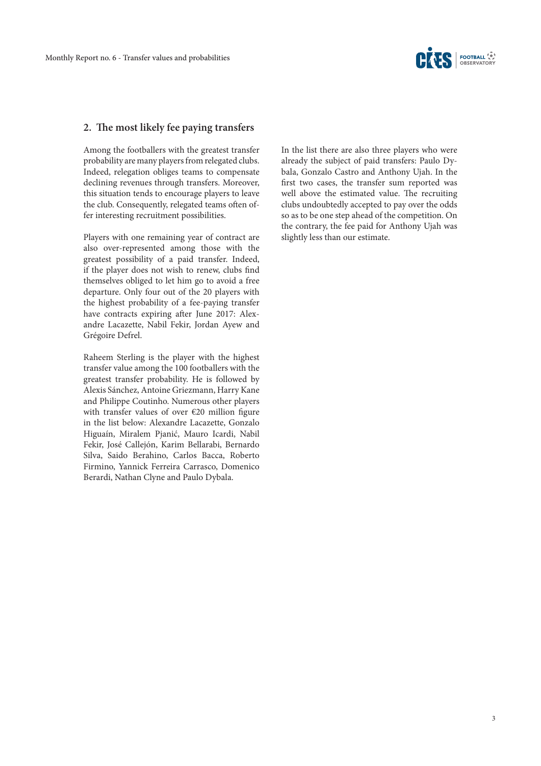

## **2. The most likely fee paying transfers**

Among the footballers with the greatest transfer probability are many players from relegated clubs. Indeed, relegation obliges teams to compensate declining revenues through transfers. Moreover, this situation tends to encourage players to leave the club. Consequently, relegated teams often offer interesting recruitment possibilities.

Players with one remaining year of contract are also over-represented among those with the greatest possibility of a paid transfer. Indeed, if the player does not wish to renew, clubs find themselves obliged to let him go to avoid a free departure. Only four out of the 20 players with the highest probability of a fee-paying transfer have contracts expiring after June 2017: Alexandre Lacazette, Nabil Fekir, Jordan Ayew and Grégoire Defrel.

Raheem Sterling is the player with the highest transfer value among the 100 footballers with the greatest transfer probability. He is followed by Alexis Sánchez, Antoine Griezmann, Harry Kane and Philippe Coutinho. Numerous other players with transfer values of over €20 million figure in the list below: Alexandre Lacazette, Gonzalo Higuaín, Miralem Pjanić, Mauro Icardi, Nabil Fekir, José Callejón, Karim Bellarabi, Bernardo Silva, Saido Berahino, Carlos Bacca, Roberto Firmino, Yannick Ferreira Carrasco, Domenico Berardi, Nathan Clyne and Paulo Dybala.

In the list there are also three players who were already the subject of paid transfers: Paulo Dybala, Gonzalo Castro and Anthony Ujah. In the first two cases, the transfer sum reported was well above the estimated value. The recruiting clubs undoubtedly accepted to pay over the odds so as to be one step ahead of the competition. On the contrary, the fee paid for Anthony Ujah was slightly less than our estimate.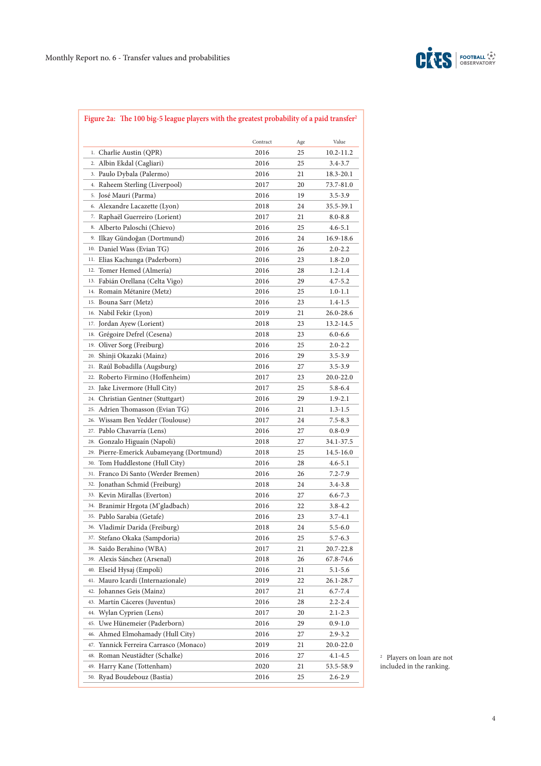

# **Figure 2a: The 100 big-5 league players with the greatest probability of a paid transfer2**

| Contract<br>Value<br>Age<br>1. Charlie Austin (QPR)<br>2016<br>25<br>10.2-11.2<br>2. Albin Ekdal (Cagliari)<br>2016<br>25<br>3.4-3.7<br>3. Paulo Dybala (Palermo)<br>2016<br>21<br>18.3-20.1<br>4. Raheem Sterling (Liverpool)<br>20<br>2017<br><sup>5.</sup> José Mauri (Parma)<br>2016<br>19<br>$3.5 - 3.9$<br>6. Alexandre Lacazette (Lyon)<br>24<br>2018<br>7. Raphaël Guerreiro (Lorient)<br>2017<br>21<br>$8.0 - 8.8$<br>8. Alberto Paloschi (Chievo)<br>25<br>2016<br>4.6-5.1<br>9. Ilkay Gündoğan (Dortmund)<br>2016<br>24<br>10. Daniel Wass (Evian TG)<br>2016<br>26<br>$2.0 - 2.2$<br>Elias Kachunga (Paderborn)<br>11.<br>2016<br>23<br>$1.8 - 2.0$<br>Tomer Hemed (Almería)<br>12.<br>2016<br>28<br>$1.2 - 1.4$<br>13. Fabián Orellana (Celta Vigo)<br>$4.7 - 5.2$<br>2016<br>29<br>14. Romain Métanire (Metz)<br>2016<br>25<br>$1.0 - 1.1$<br>15. Bouna Sarr (Metz)<br>2016<br>23<br>1.4-1.5<br>16. Nabil Fekir (Lyon)<br>2019<br>21<br>17. Jordan Ayew (Lorient)<br>2018<br>23<br>Grégoire Defrel (Cesena)<br>2018<br>23<br>$6.0 - 6.6$<br>18.<br>Oliver Sorg (Freiburg)<br>2016<br>19.<br>25<br>$2.0 - 2.2$<br>Shinji Okazaki (Mainz)<br>2016<br>20.<br>29<br>3.5-3.9<br>Raúl Bobadilla (Augsburg)<br>2016<br>27<br>$3.5 - 3.9$<br>21.<br>Roberto Firmino (Hoffenheim)<br>22.<br>2017<br>23<br>20.0-22.0<br>Jake Livermore (Hull City)<br>2017<br>25<br>5.8-6.4<br>23.<br>Christian Gentner (Stuttgart)<br>29<br>2016<br>1.9-2.1<br>24.<br>Adrien Thomasson (Evian TG)<br>2016<br>21<br>$1.3 - 1.5$<br>25.<br>Wissam Ben Yedder (Toulouse)<br>24<br>2017<br>7.5-8.3<br>26.<br>27. Pablo Chavarría (Lens)<br>2016<br>27<br>$0.8 - 0.9$<br>Gonzalo Higuaín (Napoli)<br>28.<br>2018<br>27<br>34.1-37.5<br>29. Pierre-Emerick Aubameyang (Dortmund)<br>2018<br>25<br>14.5-16.0<br>30. Tom Huddlestone (Hull City)<br>2016<br>28<br>4.6-5.1<br>31. Franco Di Santo (Werder Bremen)<br>26<br>2016<br>7.2-7.9<br>32. Jonathan Schmid (Freiburg)<br>2018<br>24<br>3.4-3.8<br>33. Kevin Mirallas (Everton)<br>2016<br>$6.6 - 7.3$<br>27<br>34. Branimir Hrgota (M'gladbach)<br>2016<br>22<br>$3.8 - 4.2$<br>35. Pablo Sarabia (Getafe)<br>2016<br>23<br>$3.7 - 4.1$<br>36. Vladimír Darida (Freiburg)<br>2018<br>24<br>$5.5 - 6.0$<br>37. Stefano Okaka (Sampdoria)<br>2016<br>25<br>$5.7 - 6.3$<br>38. Saido Berahino (WBA)<br>2017<br>21<br>20.7-22.8<br>Alexis Sánchez (Arsenal)<br>2018<br>39.<br>26<br>67.8-74.6<br>Elseid Hysaj (Empoli)<br>40.<br>2016<br>21<br>$5.1 - 5.6$<br>41. Mauro Icardi (Internazionale)<br>2019<br>22<br>Johannes Geis (Mainz)<br>42.<br>2017<br>21<br>6.7-7.4<br>Martín Cáceres (Juventus)<br>43.<br>2016<br>28<br>$2.2 - 2.4$<br>Wylan Cyprien (Lens)<br>44.<br>2017<br>20<br>2.1-2.3<br>45. Uwe Hünemeier (Paderborn)<br>2016<br>29<br>$0.9 - 1.0$<br>Ahmed Elmohamady (Hull City)<br>2016<br>46.<br>27<br>2.9-3.2<br>Yannick Ferreira Carrasco (Monaco)<br>2019<br>47.<br>21<br>Roman Neustädter (Schalke)<br>2016<br>27<br>4.1-4.5<br>48.<br>Harry Kane (Tottenham)<br>2020<br>49.<br>21<br>Ryad Boudebouz (Bastia)<br>25<br>50.<br>2016<br>2.6-2.9 |  |           |
|-------------------------------------------------------------------------------------------------------------------------------------------------------------------------------------------------------------------------------------------------------------------------------------------------------------------------------------------------------------------------------------------------------------------------------------------------------------------------------------------------------------------------------------------------------------------------------------------------------------------------------------------------------------------------------------------------------------------------------------------------------------------------------------------------------------------------------------------------------------------------------------------------------------------------------------------------------------------------------------------------------------------------------------------------------------------------------------------------------------------------------------------------------------------------------------------------------------------------------------------------------------------------------------------------------------------------------------------------------------------------------------------------------------------------------------------------------------------------------------------------------------------------------------------------------------------------------------------------------------------------------------------------------------------------------------------------------------------------------------------------------------------------------------------------------------------------------------------------------------------------------------------------------------------------------------------------------------------------------------------------------------------------------------------------------------------------------------------------------------------------------------------------------------------------------------------------------------------------------------------------------------------------------------------------------------------------------------------------------------------------------------------------------------------------------------------------------------------------------------------------------------------------------------------------------------------------------------------------------------------------------------------------------------------------------------------------------------------------------------------------------------------------------------------------------------------------------------------------------------------------------------------------------------------------------------------------------------------------------------------------------------------------------------------------------------------------------------------------|--|-----------|
|                                                                                                                                                                                                                                                                                                                                                                                                                                                                                                                                                                                                                                                                                                                                                                                                                                                                                                                                                                                                                                                                                                                                                                                                                                                                                                                                                                                                                                                                                                                                                                                                                                                                                                                                                                                                                                                                                                                                                                                                                                                                                                                                                                                                                                                                                                                                                                                                                                                                                                                                                                                                                                                                                                                                                                                                                                                                                                                                                                                                                                                                                                 |  |           |
|                                                                                                                                                                                                                                                                                                                                                                                                                                                                                                                                                                                                                                                                                                                                                                                                                                                                                                                                                                                                                                                                                                                                                                                                                                                                                                                                                                                                                                                                                                                                                                                                                                                                                                                                                                                                                                                                                                                                                                                                                                                                                                                                                                                                                                                                                                                                                                                                                                                                                                                                                                                                                                                                                                                                                                                                                                                                                                                                                                                                                                                                                                 |  |           |
|                                                                                                                                                                                                                                                                                                                                                                                                                                                                                                                                                                                                                                                                                                                                                                                                                                                                                                                                                                                                                                                                                                                                                                                                                                                                                                                                                                                                                                                                                                                                                                                                                                                                                                                                                                                                                                                                                                                                                                                                                                                                                                                                                                                                                                                                                                                                                                                                                                                                                                                                                                                                                                                                                                                                                                                                                                                                                                                                                                                                                                                                                                 |  |           |
|                                                                                                                                                                                                                                                                                                                                                                                                                                                                                                                                                                                                                                                                                                                                                                                                                                                                                                                                                                                                                                                                                                                                                                                                                                                                                                                                                                                                                                                                                                                                                                                                                                                                                                                                                                                                                                                                                                                                                                                                                                                                                                                                                                                                                                                                                                                                                                                                                                                                                                                                                                                                                                                                                                                                                                                                                                                                                                                                                                                                                                                                                                 |  |           |
|                                                                                                                                                                                                                                                                                                                                                                                                                                                                                                                                                                                                                                                                                                                                                                                                                                                                                                                                                                                                                                                                                                                                                                                                                                                                                                                                                                                                                                                                                                                                                                                                                                                                                                                                                                                                                                                                                                                                                                                                                                                                                                                                                                                                                                                                                                                                                                                                                                                                                                                                                                                                                                                                                                                                                                                                                                                                                                                                                                                                                                                                                                 |  | 73.7-81.0 |
|                                                                                                                                                                                                                                                                                                                                                                                                                                                                                                                                                                                                                                                                                                                                                                                                                                                                                                                                                                                                                                                                                                                                                                                                                                                                                                                                                                                                                                                                                                                                                                                                                                                                                                                                                                                                                                                                                                                                                                                                                                                                                                                                                                                                                                                                                                                                                                                                                                                                                                                                                                                                                                                                                                                                                                                                                                                                                                                                                                                                                                                                                                 |  |           |
|                                                                                                                                                                                                                                                                                                                                                                                                                                                                                                                                                                                                                                                                                                                                                                                                                                                                                                                                                                                                                                                                                                                                                                                                                                                                                                                                                                                                                                                                                                                                                                                                                                                                                                                                                                                                                                                                                                                                                                                                                                                                                                                                                                                                                                                                                                                                                                                                                                                                                                                                                                                                                                                                                                                                                                                                                                                                                                                                                                                                                                                                                                 |  | 35.5-39.1 |
|                                                                                                                                                                                                                                                                                                                                                                                                                                                                                                                                                                                                                                                                                                                                                                                                                                                                                                                                                                                                                                                                                                                                                                                                                                                                                                                                                                                                                                                                                                                                                                                                                                                                                                                                                                                                                                                                                                                                                                                                                                                                                                                                                                                                                                                                                                                                                                                                                                                                                                                                                                                                                                                                                                                                                                                                                                                                                                                                                                                                                                                                                                 |  |           |
|                                                                                                                                                                                                                                                                                                                                                                                                                                                                                                                                                                                                                                                                                                                                                                                                                                                                                                                                                                                                                                                                                                                                                                                                                                                                                                                                                                                                                                                                                                                                                                                                                                                                                                                                                                                                                                                                                                                                                                                                                                                                                                                                                                                                                                                                                                                                                                                                                                                                                                                                                                                                                                                                                                                                                                                                                                                                                                                                                                                                                                                                                                 |  |           |
|                                                                                                                                                                                                                                                                                                                                                                                                                                                                                                                                                                                                                                                                                                                                                                                                                                                                                                                                                                                                                                                                                                                                                                                                                                                                                                                                                                                                                                                                                                                                                                                                                                                                                                                                                                                                                                                                                                                                                                                                                                                                                                                                                                                                                                                                                                                                                                                                                                                                                                                                                                                                                                                                                                                                                                                                                                                                                                                                                                                                                                                                                                 |  | 16.9-18.6 |
|                                                                                                                                                                                                                                                                                                                                                                                                                                                                                                                                                                                                                                                                                                                                                                                                                                                                                                                                                                                                                                                                                                                                                                                                                                                                                                                                                                                                                                                                                                                                                                                                                                                                                                                                                                                                                                                                                                                                                                                                                                                                                                                                                                                                                                                                                                                                                                                                                                                                                                                                                                                                                                                                                                                                                                                                                                                                                                                                                                                                                                                                                                 |  |           |
|                                                                                                                                                                                                                                                                                                                                                                                                                                                                                                                                                                                                                                                                                                                                                                                                                                                                                                                                                                                                                                                                                                                                                                                                                                                                                                                                                                                                                                                                                                                                                                                                                                                                                                                                                                                                                                                                                                                                                                                                                                                                                                                                                                                                                                                                                                                                                                                                                                                                                                                                                                                                                                                                                                                                                                                                                                                                                                                                                                                                                                                                                                 |  |           |
|                                                                                                                                                                                                                                                                                                                                                                                                                                                                                                                                                                                                                                                                                                                                                                                                                                                                                                                                                                                                                                                                                                                                                                                                                                                                                                                                                                                                                                                                                                                                                                                                                                                                                                                                                                                                                                                                                                                                                                                                                                                                                                                                                                                                                                                                                                                                                                                                                                                                                                                                                                                                                                                                                                                                                                                                                                                                                                                                                                                                                                                                                                 |  |           |
|                                                                                                                                                                                                                                                                                                                                                                                                                                                                                                                                                                                                                                                                                                                                                                                                                                                                                                                                                                                                                                                                                                                                                                                                                                                                                                                                                                                                                                                                                                                                                                                                                                                                                                                                                                                                                                                                                                                                                                                                                                                                                                                                                                                                                                                                                                                                                                                                                                                                                                                                                                                                                                                                                                                                                                                                                                                                                                                                                                                                                                                                                                 |  |           |
|                                                                                                                                                                                                                                                                                                                                                                                                                                                                                                                                                                                                                                                                                                                                                                                                                                                                                                                                                                                                                                                                                                                                                                                                                                                                                                                                                                                                                                                                                                                                                                                                                                                                                                                                                                                                                                                                                                                                                                                                                                                                                                                                                                                                                                                                                                                                                                                                                                                                                                                                                                                                                                                                                                                                                                                                                                                                                                                                                                                                                                                                                                 |  |           |
|                                                                                                                                                                                                                                                                                                                                                                                                                                                                                                                                                                                                                                                                                                                                                                                                                                                                                                                                                                                                                                                                                                                                                                                                                                                                                                                                                                                                                                                                                                                                                                                                                                                                                                                                                                                                                                                                                                                                                                                                                                                                                                                                                                                                                                                                                                                                                                                                                                                                                                                                                                                                                                                                                                                                                                                                                                                                                                                                                                                                                                                                                                 |  |           |
|                                                                                                                                                                                                                                                                                                                                                                                                                                                                                                                                                                                                                                                                                                                                                                                                                                                                                                                                                                                                                                                                                                                                                                                                                                                                                                                                                                                                                                                                                                                                                                                                                                                                                                                                                                                                                                                                                                                                                                                                                                                                                                                                                                                                                                                                                                                                                                                                                                                                                                                                                                                                                                                                                                                                                                                                                                                                                                                                                                                                                                                                                                 |  | 26.0-28.6 |
|                                                                                                                                                                                                                                                                                                                                                                                                                                                                                                                                                                                                                                                                                                                                                                                                                                                                                                                                                                                                                                                                                                                                                                                                                                                                                                                                                                                                                                                                                                                                                                                                                                                                                                                                                                                                                                                                                                                                                                                                                                                                                                                                                                                                                                                                                                                                                                                                                                                                                                                                                                                                                                                                                                                                                                                                                                                                                                                                                                                                                                                                                                 |  | 13.2-14.5 |
|                                                                                                                                                                                                                                                                                                                                                                                                                                                                                                                                                                                                                                                                                                                                                                                                                                                                                                                                                                                                                                                                                                                                                                                                                                                                                                                                                                                                                                                                                                                                                                                                                                                                                                                                                                                                                                                                                                                                                                                                                                                                                                                                                                                                                                                                                                                                                                                                                                                                                                                                                                                                                                                                                                                                                                                                                                                                                                                                                                                                                                                                                                 |  |           |
|                                                                                                                                                                                                                                                                                                                                                                                                                                                                                                                                                                                                                                                                                                                                                                                                                                                                                                                                                                                                                                                                                                                                                                                                                                                                                                                                                                                                                                                                                                                                                                                                                                                                                                                                                                                                                                                                                                                                                                                                                                                                                                                                                                                                                                                                                                                                                                                                                                                                                                                                                                                                                                                                                                                                                                                                                                                                                                                                                                                                                                                                                                 |  |           |
|                                                                                                                                                                                                                                                                                                                                                                                                                                                                                                                                                                                                                                                                                                                                                                                                                                                                                                                                                                                                                                                                                                                                                                                                                                                                                                                                                                                                                                                                                                                                                                                                                                                                                                                                                                                                                                                                                                                                                                                                                                                                                                                                                                                                                                                                                                                                                                                                                                                                                                                                                                                                                                                                                                                                                                                                                                                                                                                                                                                                                                                                                                 |  |           |
|                                                                                                                                                                                                                                                                                                                                                                                                                                                                                                                                                                                                                                                                                                                                                                                                                                                                                                                                                                                                                                                                                                                                                                                                                                                                                                                                                                                                                                                                                                                                                                                                                                                                                                                                                                                                                                                                                                                                                                                                                                                                                                                                                                                                                                                                                                                                                                                                                                                                                                                                                                                                                                                                                                                                                                                                                                                                                                                                                                                                                                                                                                 |  |           |
|                                                                                                                                                                                                                                                                                                                                                                                                                                                                                                                                                                                                                                                                                                                                                                                                                                                                                                                                                                                                                                                                                                                                                                                                                                                                                                                                                                                                                                                                                                                                                                                                                                                                                                                                                                                                                                                                                                                                                                                                                                                                                                                                                                                                                                                                                                                                                                                                                                                                                                                                                                                                                                                                                                                                                                                                                                                                                                                                                                                                                                                                                                 |  |           |
|                                                                                                                                                                                                                                                                                                                                                                                                                                                                                                                                                                                                                                                                                                                                                                                                                                                                                                                                                                                                                                                                                                                                                                                                                                                                                                                                                                                                                                                                                                                                                                                                                                                                                                                                                                                                                                                                                                                                                                                                                                                                                                                                                                                                                                                                                                                                                                                                                                                                                                                                                                                                                                                                                                                                                                                                                                                                                                                                                                                                                                                                                                 |  |           |
|                                                                                                                                                                                                                                                                                                                                                                                                                                                                                                                                                                                                                                                                                                                                                                                                                                                                                                                                                                                                                                                                                                                                                                                                                                                                                                                                                                                                                                                                                                                                                                                                                                                                                                                                                                                                                                                                                                                                                                                                                                                                                                                                                                                                                                                                                                                                                                                                                                                                                                                                                                                                                                                                                                                                                                                                                                                                                                                                                                                                                                                                                                 |  |           |
|                                                                                                                                                                                                                                                                                                                                                                                                                                                                                                                                                                                                                                                                                                                                                                                                                                                                                                                                                                                                                                                                                                                                                                                                                                                                                                                                                                                                                                                                                                                                                                                                                                                                                                                                                                                                                                                                                                                                                                                                                                                                                                                                                                                                                                                                                                                                                                                                                                                                                                                                                                                                                                                                                                                                                                                                                                                                                                                                                                                                                                                                                                 |  |           |
|                                                                                                                                                                                                                                                                                                                                                                                                                                                                                                                                                                                                                                                                                                                                                                                                                                                                                                                                                                                                                                                                                                                                                                                                                                                                                                                                                                                                                                                                                                                                                                                                                                                                                                                                                                                                                                                                                                                                                                                                                                                                                                                                                                                                                                                                                                                                                                                                                                                                                                                                                                                                                                                                                                                                                                                                                                                                                                                                                                                                                                                                                                 |  |           |
|                                                                                                                                                                                                                                                                                                                                                                                                                                                                                                                                                                                                                                                                                                                                                                                                                                                                                                                                                                                                                                                                                                                                                                                                                                                                                                                                                                                                                                                                                                                                                                                                                                                                                                                                                                                                                                                                                                                                                                                                                                                                                                                                                                                                                                                                                                                                                                                                                                                                                                                                                                                                                                                                                                                                                                                                                                                                                                                                                                                                                                                                                                 |  |           |
|                                                                                                                                                                                                                                                                                                                                                                                                                                                                                                                                                                                                                                                                                                                                                                                                                                                                                                                                                                                                                                                                                                                                                                                                                                                                                                                                                                                                                                                                                                                                                                                                                                                                                                                                                                                                                                                                                                                                                                                                                                                                                                                                                                                                                                                                                                                                                                                                                                                                                                                                                                                                                                                                                                                                                                                                                                                                                                                                                                                                                                                                                                 |  |           |
|                                                                                                                                                                                                                                                                                                                                                                                                                                                                                                                                                                                                                                                                                                                                                                                                                                                                                                                                                                                                                                                                                                                                                                                                                                                                                                                                                                                                                                                                                                                                                                                                                                                                                                                                                                                                                                                                                                                                                                                                                                                                                                                                                                                                                                                                                                                                                                                                                                                                                                                                                                                                                                                                                                                                                                                                                                                                                                                                                                                                                                                                                                 |  |           |
|                                                                                                                                                                                                                                                                                                                                                                                                                                                                                                                                                                                                                                                                                                                                                                                                                                                                                                                                                                                                                                                                                                                                                                                                                                                                                                                                                                                                                                                                                                                                                                                                                                                                                                                                                                                                                                                                                                                                                                                                                                                                                                                                                                                                                                                                                                                                                                                                                                                                                                                                                                                                                                                                                                                                                                                                                                                                                                                                                                                                                                                                                                 |  |           |
|                                                                                                                                                                                                                                                                                                                                                                                                                                                                                                                                                                                                                                                                                                                                                                                                                                                                                                                                                                                                                                                                                                                                                                                                                                                                                                                                                                                                                                                                                                                                                                                                                                                                                                                                                                                                                                                                                                                                                                                                                                                                                                                                                                                                                                                                                                                                                                                                                                                                                                                                                                                                                                                                                                                                                                                                                                                                                                                                                                                                                                                                                                 |  |           |
|                                                                                                                                                                                                                                                                                                                                                                                                                                                                                                                                                                                                                                                                                                                                                                                                                                                                                                                                                                                                                                                                                                                                                                                                                                                                                                                                                                                                                                                                                                                                                                                                                                                                                                                                                                                                                                                                                                                                                                                                                                                                                                                                                                                                                                                                                                                                                                                                                                                                                                                                                                                                                                                                                                                                                                                                                                                                                                                                                                                                                                                                                                 |  |           |
|                                                                                                                                                                                                                                                                                                                                                                                                                                                                                                                                                                                                                                                                                                                                                                                                                                                                                                                                                                                                                                                                                                                                                                                                                                                                                                                                                                                                                                                                                                                                                                                                                                                                                                                                                                                                                                                                                                                                                                                                                                                                                                                                                                                                                                                                                                                                                                                                                                                                                                                                                                                                                                                                                                                                                                                                                                                                                                                                                                                                                                                                                                 |  |           |
|                                                                                                                                                                                                                                                                                                                                                                                                                                                                                                                                                                                                                                                                                                                                                                                                                                                                                                                                                                                                                                                                                                                                                                                                                                                                                                                                                                                                                                                                                                                                                                                                                                                                                                                                                                                                                                                                                                                                                                                                                                                                                                                                                                                                                                                                                                                                                                                                                                                                                                                                                                                                                                                                                                                                                                                                                                                                                                                                                                                                                                                                                                 |  |           |
|                                                                                                                                                                                                                                                                                                                                                                                                                                                                                                                                                                                                                                                                                                                                                                                                                                                                                                                                                                                                                                                                                                                                                                                                                                                                                                                                                                                                                                                                                                                                                                                                                                                                                                                                                                                                                                                                                                                                                                                                                                                                                                                                                                                                                                                                                                                                                                                                                                                                                                                                                                                                                                                                                                                                                                                                                                                                                                                                                                                                                                                                                                 |  |           |
|                                                                                                                                                                                                                                                                                                                                                                                                                                                                                                                                                                                                                                                                                                                                                                                                                                                                                                                                                                                                                                                                                                                                                                                                                                                                                                                                                                                                                                                                                                                                                                                                                                                                                                                                                                                                                                                                                                                                                                                                                                                                                                                                                                                                                                                                                                                                                                                                                                                                                                                                                                                                                                                                                                                                                                                                                                                                                                                                                                                                                                                                                                 |  |           |
|                                                                                                                                                                                                                                                                                                                                                                                                                                                                                                                                                                                                                                                                                                                                                                                                                                                                                                                                                                                                                                                                                                                                                                                                                                                                                                                                                                                                                                                                                                                                                                                                                                                                                                                                                                                                                                                                                                                                                                                                                                                                                                                                                                                                                                                                                                                                                                                                                                                                                                                                                                                                                                                                                                                                                                                                                                                                                                                                                                                                                                                                                                 |  |           |
|                                                                                                                                                                                                                                                                                                                                                                                                                                                                                                                                                                                                                                                                                                                                                                                                                                                                                                                                                                                                                                                                                                                                                                                                                                                                                                                                                                                                                                                                                                                                                                                                                                                                                                                                                                                                                                                                                                                                                                                                                                                                                                                                                                                                                                                                                                                                                                                                                                                                                                                                                                                                                                                                                                                                                                                                                                                                                                                                                                                                                                                                                                 |  |           |
|                                                                                                                                                                                                                                                                                                                                                                                                                                                                                                                                                                                                                                                                                                                                                                                                                                                                                                                                                                                                                                                                                                                                                                                                                                                                                                                                                                                                                                                                                                                                                                                                                                                                                                                                                                                                                                                                                                                                                                                                                                                                                                                                                                                                                                                                                                                                                                                                                                                                                                                                                                                                                                                                                                                                                                                                                                                                                                                                                                                                                                                                                                 |  |           |
|                                                                                                                                                                                                                                                                                                                                                                                                                                                                                                                                                                                                                                                                                                                                                                                                                                                                                                                                                                                                                                                                                                                                                                                                                                                                                                                                                                                                                                                                                                                                                                                                                                                                                                                                                                                                                                                                                                                                                                                                                                                                                                                                                                                                                                                                                                                                                                                                                                                                                                                                                                                                                                                                                                                                                                                                                                                                                                                                                                                                                                                                                                 |  |           |
|                                                                                                                                                                                                                                                                                                                                                                                                                                                                                                                                                                                                                                                                                                                                                                                                                                                                                                                                                                                                                                                                                                                                                                                                                                                                                                                                                                                                                                                                                                                                                                                                                                                                                                                                                                                                                                                                                                                                                                                                                                                                                                                                                                                                                                                                                                                                                                                                                                                                                                                                                                                                                                                                                                                                                                                                                                                                                                                                                                                                                                                                                                 |  |           |
|                                                                                                                                                                                                                                                                                                                                                                                                                                                                                                                                                                                                                                                                                                                                                                                                                                                                                                                                                                                                                                                                                                                                                                                                                                                                                                                                                                                                                                                                                                                                                                                                                                                                                                                                                                                                                                                                                                                                                                                                                                                                                                                                                                                                                                                                                                                                                                                                                                                                                                                                                                                                                                                                                                                                                                                                                                                                                                                                                                                                                                                                                                 |  | 26.1-28.7 |
|                                                                                                                                                                                                                                                                                                                                                                                                                                                                                                                                                                                                                                                                                                                                                                                                                                                                                                                                                                                                                                                                                                                                                                                                                                                                                                                                                                                                                                                                                                                                                                                                                                                                                                                                                                                                                                                                                                                                                                                                                                                                                                                                                                                                                                                                                                                                                                                                                                                                                                                                                                                                                                                                                                                                                                                                                                                                                                                                                                                                                                                                                                 |  |           |
|                                                                                                                                                                                                                                                                                                                                                                                                                                                                                                                                                                                                                                                                                                                                                                                                                                                                                                                                                                                                                                                                                                                                                                                                                                                                                                                                                                                                                                                                                                                                                                                                                                                                                                                                                                                                                                                                                                                                                                                                                                                                                                                                                                                                                                                                                                                                                                                                                                                                                                                                                                                                                                                                                                                                                                                                                                                                                                                                                                                                                                                                                                 |  |           |
|                                                                                                                                                                                                                                                                                                                                                                                                                                                                                                                                                                                                                                                                                                                                                                                                                                                                                                                                                                                                                                                                                                                                                                                                                                                                                                                                                                                                                                                                                                                                                                                                                                                                                                                                                                                                                                                                                                                                                                                                                                                                                                                                                                                                                                                                                                                                                                                                                                                                                                                                                                                                                                                                                                                                                                                                                                                                                                                                                                                                                                                                                                 |  |           |
|                                                                                                                                                                                                                                                                                                                                                                                                                                                                                                                                                                                                                                                                                                                                                                                                                                                                                                                                                                                                                                                                                                                                                                                                                                                                                                                                                                                                                                                                                                                                                                                                                                                                                                                                                                                                                                                                                                                                                                                                                                                                                                                                                                                                                                                                                                                                                                                                                                                                                                                                                                                                                                                                                                                                                                                                                                                                                                                                                                                                                                                                                                 |  |           |
|                                                                                                                                                                                                                                                                                                                                                                                                                                                                                                                                                                                                                                                                                                                                                                                                                                                                                                                                                                                                                                                                                                                                                                                                                                                                                                                                                                                                                                                                                                                                                                                                                                                                                                                                                                                                                                                                                                                                                                                                                                                                                                                                                                                                                                                                                                                                                                                                                                                                                                                                                                                                                                                                                                                                                                                                                                                                                                                                                                                                                                                                                                 |  |           |
|                                                                                                                                                                                                                                                                                                                                                                                                                                                                                                                                                                                                                                                                                                                                                                                                                                                                                                                                                                                                                                                                                                                                                                                                                                                                                                                                                                                                                                                                                                                                                                                                                                                                                                                                                                                                                                                                                                                                                                                                                                                                                                                                                                                                                                                                                                                                                                                                                                                                                                                                                                                                                                                                                                                                                                                                                                                                                                                                                                                                                                                                                                 |  | 20.0-22.0 |
|                                                                                                                                                                                                                                                                                                                                                                                                                                                                                                                                                                                                                                                                                                                                                                                                                                                                                                                                                                                                                                                                                                                                                                                                                                                                                                                                                                                                                                                                                                                                                                                                                                                                                                                                                                                                                                                                                                                                                                                                                                                                                                                                                                                                                                                                                                                                                                                                                                                                                                                                                                                                                                                                                                                                                                                                                                                                                                                                                                                                                                                                                                 |  |           |
|                                                                                                                                                                                                                                                                                                                                                                                                                                                                                                                                                                                                                                                                                                                                                                                                                                                                                                                                                                                                                                                                                                                                                                                                                                                                                                                                                                                                                                                                                                                                                                                                                                                                                                                                                                                                                                                                                                                                                                                                                                                                                                                                                                                                                                                                                                                                                                                                                                                                                                                                                                                                                                                                                                                                                                                                                                                                                                                                                                                                                                                                                                 |  | 53.5-58.9 |
|                                                                                                                                                                                                                                                                                                                                                                                                                                                                                                                                                                                                                                                                                                                                                                                                                                                                                                                                                                                                                                                                                                                                                                                                                                                                                                                                                                                                                                                                                                                                                                                                                                                                                                                                                                                                                                                                                                                                                                                                                                                                                                                                                                                                                                                                                                                                                                                                                                                                                                                                                                                                                                                                                                                                                                                                                                                                                                                                                                                                                                                                                                 |  |           |

<sup>2</sup> Players on loan are not included in the ranking.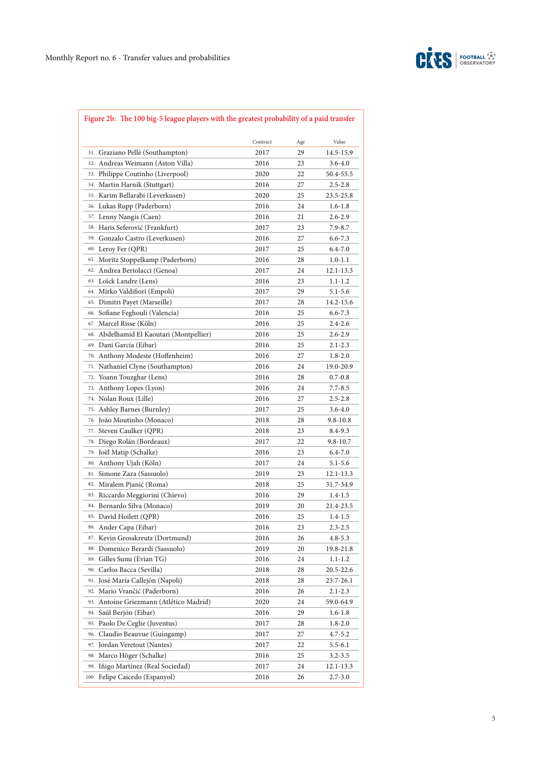

# **Figure 2b: The 100 big-5 league players with the greatest probability of a paid transfer**

|                                             | Contract |     | Value       |
|---------------------------------------------|----------|-----|-------------|
|                                             |          | Age |             |
| 51. Graziano Pellè (Southampton)<br>52.     | 2017     | 29  | 14.5-15.9   |
| Andreas Weimann (Aston Villa)               | 2016     | 23  | 3.6-4.0     |
| Philippe Coutinho (Liverpool)<br>53.        | 2020     | 22  | 50.4-55.5   |
| 54. Martin Harnik (Stuttgart)               | 2016     | 27  | $2.5 - 2.8$ |
| 55. Karim Bellarabi (Leverkusen)            | 2020     | 25  | 23.5-25.8   |
| 56. Lukas Rupp (Paderborn)                  | 2016     | 24  | $1.6 - 1.8$ |
| 57. Lenny Nangis (Caen)                     | 2016     | 21  | 2.6-2.9     |
| 58. Haris Seferović (Frankfurt)             | 2017     | 23  | $7.9 - 8.7$ |
| 59. Gonzalo Castro (Leverkusen)             | 2016     | 27  | $6.6 - 7.3$ |
| 60. Leroy Fer (QPR)                         | 2017     | 25  | $6.4 - 7.0$ |
| Moritz Stoppelkamp (Paderborn)<br>61.       | 2016     | 28  | $1.0 - 1.1$ |
| Andrea Bertolacci (Genoa)<br>62.            | 2017     | 24  | 12.1-13.3   |
| Loïck Landre (Lens)<br>63.                  | 2016     | 23  | 1.1-1.2     |
| Mirko Valdifiori (Empoli)<br>64.            | 2017     | 29  | $5.1 - 5.6$ |
| Dimitri Payet (Marseille)<br>65.            | 2017     | 28  | 14.2-15.6   |
| Sofiane Feghouli (Valencia)<br>66.          | 2016     | 25  | $6.6 - 7.3$ |
| Marcel Risse (Köln)<br>67.                  | 2016     | 25  | $2.4 - 2.6$ |
| Abdelhamid El Kaoutari (Montpellier)<br>68. | 2016     | 25  | $2.6 - 2.9$ |
| Dani García (Eibar)<br>69.                  | 2016     | 25  | $2.1 - 2.3$ |
| Anthony Modeste (Hoffenheim)<br>70.         | 2016     | 27  | $1.8 - 2.0$ |
| 71. Nathaniel Clyne (Southampton)           | 2016     | 24  | 19.0-20.9   |
| Yoann Touzghar (Lens)<br>72.                | 2016     | 28  | $0.7 - 0.8$ |
| Anthony Lopes (Lyon)<br>73.                 | 2016     | 24  | 7.7-8.5     |
| <sup>74.</sup> Nolan Roux (Lille)           | 2016     | 27  | $2.5 - 2.8$ |
| Ashley Barnes (Burnley)<br>75.              | 2017     | 25  | 3.6-4.0     |
| João Moutinho (Monaco)<br>76.               | 2018     | 28  | 9.8-10.8    |
| Steven Caulker (QPR)<br>77.                 | 2018     | 23  | 8.4-9.3     |
| 78. Diego Rolán (Bordeaux)                  | 2017     | 22  | 9.8-10.7    |
| 79. Joël Matip (Schalke)                    | 2016     | 23  | $6.4 - 7.0$ |
| Anthony Ujah (Köln)<br>80.                  | 2017     | 24  | 5.1-5.6     |
| 81. Simone Zaza (Sassuolo)                  | 2019     | 23  | 12.1-13.3   |
| 82. Miralem Pjanić (Roma)                   | 2018     | 25  | 31.7-34.9   |
| 83. Riccardo Meggiorini (Chievo)            | 2016     | 29  | 1.4-1.5     |
| 84. Bernardo Silva (Monaco)                 | 2019     | 20  | 21.4-23.5   |
| 85. David Hoilett (QPR)                     | 2016     | 25  | 1.4-1.5     |
| 86. Ander Capa (Eibar)                      | 2016     | 23  | $2.3 - 2.5$ |
| Kevin Grosskreutz (Dortmund)<br>87.         | 2016     | 26  | 4.8-5.3     |
| 88. Domenico Berardi (Sassuolo)             | 2019     | 20  | 19.8-21.8   |
| Gilles Sunu (Evian TG)<br>89.               | 2016     | 24  | 1.1-1.2     |
| Carlos Bacca (Sevilla)<br>90.               | 2018     | 28  | 20.5-22.6   |
| José María Callejón (Napoli)<br>91.         | 2018     | 28  | 23.7-26.1   |
| Mario Vrančić (Paderborn)<br>92.            | 2016     | 26  | 2.1-2.3     |
| Antoine Griezmann (Atlético Madrid)<br>93.  | 2020     | 24  | 59.0-64.9   |
| Saúl Berjón (Eibar)<br>94.                  | 2016     | 29  | 1.6-1.8     |
| 95. Paolo De Ceglie (Juventus)              | 2017     | 28  | $1.8 - 2.0$ |
| 96. Claudio Beauvue (Guingamp)              | 2017     | 27  | $4.7 - 5.2$ |
| 97. Jordan Veretout (Nantes)                | 2017     | 22  | 5.5-6.1     |
| 98. Marco Höger (Schalke)                   | 2016     | 25  | 3.2-3.5     |
| Iñigo Martínez (Real Sociedad)<br>99.       | 2017     | 24  | 12.1-13.3   |
| 100. Felipe Caicedo (Espanyol)              | 2016     | 26  | $2.7 - 3.0$ |
|                                             |          |     |             |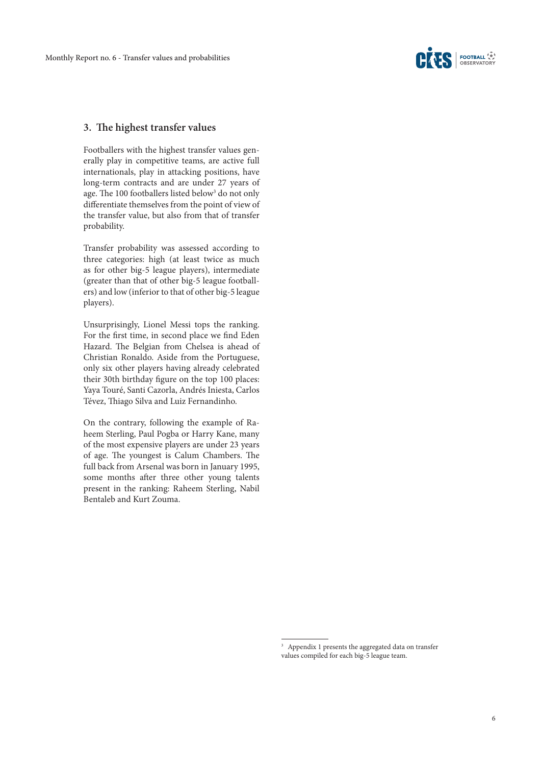

#### **3. The highest transfer values**

Footballers with the highest transfer values generally play in competitive teams, are active full internationals, play in attacking positions, have long-term contracts and are under 27 years of age. The 100 footballers listed below<sup>3</sup> do not only differentiate themselves from the point of view of the transfer value, but also from that of transfer probability.

Transfer probability was assessed according to three categories: high (at least twice as much as for other big-5 league players), intermediate (greater than that of other big-5 league footballers) and low (inferior to that of other big-5 league players).

Unsurprisingly, Lionel Messi tops the ranking. For the first time, in second place we find Eden Hazard. The Belgian from Chelsea is ahead of Christian Ronaldo. Aside from the Portuguese, only six other players having already celebrated their 30th birthday figure on the top 100 places: Yaya Touré, Santi Cazorla, Andrés Iniesta, Carlos Tévez, Thiago Silva and Luiz Fernandinho.

On the contrary, following the example of Raheem Sterling, Paul Pogba or Harry Kane, many of the most expensive players are under 23 years of age. The youngest is Calum Chambers. The full back from Arsenal was born in January 1995, some months after three other young talents present in the ranking: Raheem Sterling, Nabil Bentaleb and Kurt Zouma.

<sup>&</sup>lt;sup>3</sup> Appendix 1 presents the aggregated data on transfer values compiled for each big-5 league team.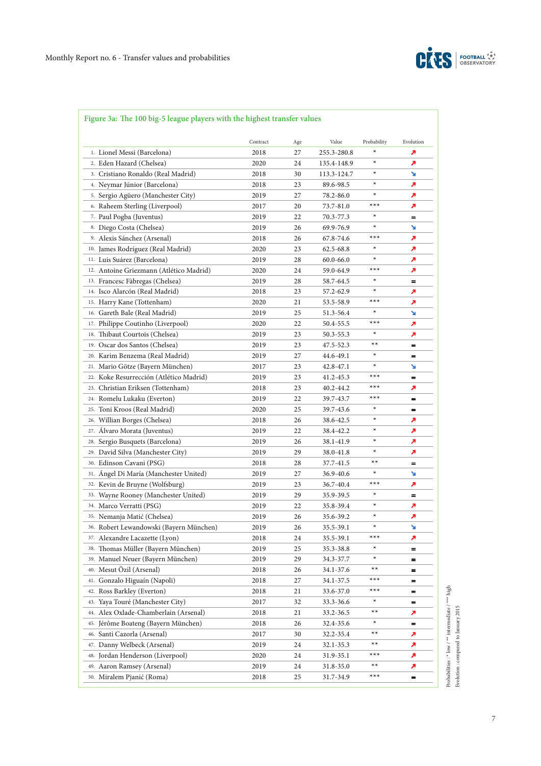

# **Figure 3a: The 100 big-5 league players with the highest transfer values**

|                          |                                              | Contract |           | Value       | Probability | Evolution |
|--------------------------|----------------------------------------------|----------|-----------|-------------|-------------|-----------|
|                          | 1. Lionel Messi (Barcelona)                  | 2018     | Age<br>27 | 255.3-280.8 | ∗           | ↗         |
|                          | 2. Eden Hazard (Chelsea)                     | 2020     | 24        | 135.4-148.9 | ∗           | ↗         |
|                          | 3. Cristiano Ronaldo (Real Madrid)           | 2018     | 30        | 113.3-124.7 | ∗           | ↘         |
|                          | 4. Neymar Júnior (Barcelona)                 | 2018     | 23        | 89.6-98.5   | ∗           | ↗         |
|                          | 5. Sergio Agüero (Manchester City)           | 2019     | 27        | 78.2-86.0   | ∗           | A         |
|                          | 6. Raheem Sterling (Liverpool)               | 2017     | 20        | 73.7-81.0   | $***$       | ↗         |
|                          | 7. Paul Pogba (Juventus)                     | 2019     | 22        | 70.3-77.3   | ∗           | =         |
|                          | 8. Diego Costa (Chelsea)                     | 2019     | 26        | 69.9-76.9   | ∗           | ↘         |
|                          | 9. Alexis Sánchez (Arsenal)                  | 2018     | 26        | 67.8-74.6   | $***$       | ↗         |
|                          | <sup>10.</sup> James Rodríguez (Real Madrid) | 2020     | 23        | 62.5-68.8   | ∗           | л         |
|                          | <sup>11.</sup> Luis Suárez (Barcelona)       | 2019     | 28        | 60.0-66.0   | ∗           | ↗         |
|                          | 12. Antoine Griezmann (Atlético Madrid)      | 2020     | 24        | 59.0-64.9   | $***$       | ↗         |
|                          | 13. Francesc Fàbregas (Chelsea)              | 2019     | 28        | 58.7-64.5   | ∗           | =         |
|                          | 14. Isco Alarcón (Real Madrid)               | 2018     | 23        | 57.2-62.9   | ∗           | ↗         |
|                          | 15. Harry Kane (Tottenham)                   | 2020     | 21        | 53.5-58.9   | $***$       | ↗         |
|                          | 16. Gareth Bale (Real Madrid)                | 2019     | 25        | 51.3-56.4   | ∗           | ↘         |
|                          | 17. Philippe Coutinho (Liverpool)            | 2020     | 22        | 50.4-55.5   | $***$       | ↗         |
|                          | 18. Thibaut Courtois (Chelsea)               | 2019     | 23        | 50.3-55.3   | ∗           | ↗         |
|                          | 19. Oscar dos Santos (Chelsea)               | 2019     | 23        | 47.5-52.3   | $***$       | $=$       |
|                          | 20. Karim Benzema (Real Madrid)              | 2019     | 27        | 44.6-49.1   | ∗           | =         |
|                          | 21. Mario Götze (Bayern München)             | 2017     | 23        | 42.8-47.1   | ∗           | ↘         |
|                          | 22. Koke Resurrección (Atlético Madrid)      | 2019     | 23        | 41.2-45.3   | $***$       | =         |
|                          | 23. Christian Eriksen (Tottenham)            | 2018     | 23        | 40.2-44.2   | $***$       | ↗         |
|                          | 24. Romelu Lukaku (Everton)                  | 2019     | 22        | 39.7-43.7   | $***$       | $=$       |
| 25.                      | Toni Kroos (Real Madrid)                     | 2020     | 25        | 39.7-43.6   | ∗           | =         |
| 26.                      | Willian Borges (Chelsea)                     | 2018     | 26        | 38.6-42.5   | ∗           | ↗         |
| 27.                      | Alvaro Morata (Juventus)                     | 2019     | 22        | 38.4-42.2   | ∗           | ↗         |
|                          | 28. Sergio Busquets (Barcelona)              | 2019     | 26        | 38.1-41.9   | ∗           | ↗         |
|                          | 29. David Silva (Manchester City)            | 2019     | 29        | 38.0-41.8   | $\ast$      | ↗         |
|                          | 30. Edinson Cavani (PSG)                     | 2018     | 28        | 37.7-41.5   | $**$        | =         |
| 31.                      | Angel Di María (Manchester United)           | 2019     | 27        | 36.9-40.6   | ∗           | ¥         |
|                          | 32. Kevin de Bruyne (Wolfsburg)              | 2019     | 23        | 36.7-40.4   | $***$       | ↗         |
|                          | 33. Wayne Rooney (Manchester United)         | 2019     | 29        | 35.9-39.5   | ∗           | =         |
|                          | 34. Marco Verratti (PSG)                     | 2019     | 22        | 35.8-39.4   | ∗           | ↗         |
|                          | 35. Nemanja Matić (Chelsea)                  | 2019     | 26        | 35.6-39.2   | $\ast$      | ↗         |
|                          | 36. Robert Lewandowski (Bayern München)      | 2019     | 26        | 35.5-39.1   | ∗           | ¥         |
|                          | 37. Alexandre Lacazette (Lyon)               | 2018     | 24        | 35.5-39.1   | ***         | ↗         |
|                          | 38. Thomas Müller (Bayern München)           | 2019     | 25        | 35.3-38.8   | ∗           | =         |
|                          | 39. Manuel Neuer (Bayern München)            | 2019     | 29        | 34.3-37.7   | ∗           | =         |
| 40. Mesut Özil (Arsenal) |                                              | 2018     | 26        | 34.1-37.6   | $***$       | =         |
|                          | 41. Gonzalo Higuaín (Napoli)                 | 2018     | 27        | 34.1-37.5   | ***         | =         |
|                          | 42. Ross Barkley (Everton)                   | 2018     | 21        | 33.6-37.0   | $***$       | =         |
|                          | 43. Yaya Touré (Manchester City)             | 2017     | 32        | 33.3-36.6   | $\ast$      | =         |
|                          | 44. Alex Oxlade-Chamberlain (Arsenal)        | 2018     | 21        | 33.2-36.5   | $***$       | ↗         |
|                          | 45. Jérôme Boateng (Bayern München)          | 2018     | 26        | 32.4-35.6   | $\ast$      | $=$       |
|                          | 46. Santi Cazorla (Arsenal)                  | 2017     | 30        | 32.2-35.4   | $***$       | ↗         |
|                          | 47. Danny Welbeck (Arsenal)                  | 2019     | 24        | 32.1-35.3   | $***$       | ↗         |
| 48.                      | Jordan Henderson (Liverpool)                 | 2020     | 24        | 31.9-35.1   | $***$       | ↗         |
|                          | 49. Aaron Ramsey (Arsenal)                   | 2019     | 24        | 31.8-35.0   | $***$       | ↗         |
|                          | 50. Miralem Pjanić (Roma)                    | 2018     | 25        | 31.7-34.9   | $***$       | =         |
|                          |                                              |          |           |             |             |           |

 $\begin{split} \text{Probabilities}: \text{``low}/\text{''''} \text{ intermediate}/\text{''''} \text{ high}\\ \text{Evolution}: \text{compacted to January 2015} \end{split}$ Probabilities : \* low / \*\* intermediate / \*\*\* high Evolution : compared to January 2015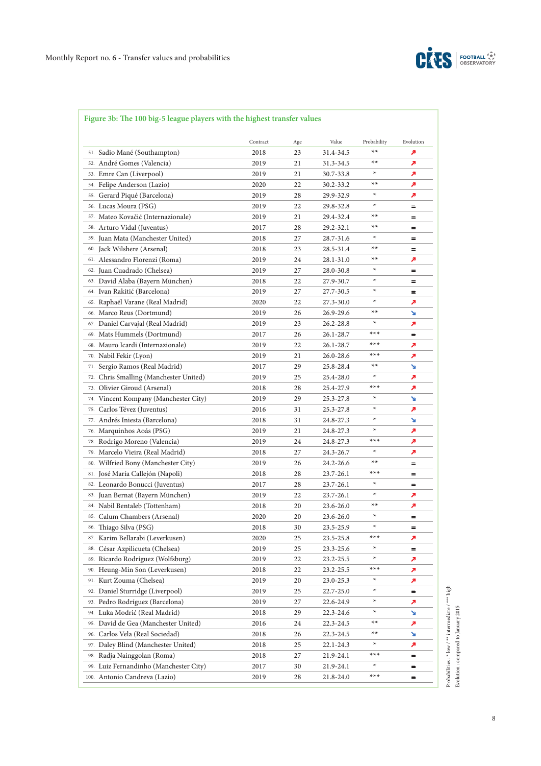

# **Figure 3b: The 100 big-5 league players with the highest transfer values**

|                                                                   | Contract     |           | Value                  |                     | Evolution |
|-------------------------------------------------------------------|--------------|-----------|------------------------|---------------------|-----------|
| 51. Sadio Mané (Southampton)                                      | 2018         | Age<br>23 | 31.4-34.5              | Probability<br>$**$ | ↗         |
| André Gomes (Valencia)<br>52.                                     | 2019         | 21        | 31.3-34.5              | $**$                | ↗         |
| 53. Emre Can (Liverpool)                                          | 2019         | 21        | 30.7-33.8              | ∗                   | ↗         |
| 54. Felipe Anderson (Lazio)                                       | 2020         | 22        | 30.2-33.2              | $**$                | ↗         |
| 55. Gerard Piqué (Barcelona)                                      | 2019         | 28        | 29.9-32.9              | ∗                   | ↗         |
| 56. Lucas Moura (PSG)                                             | 2019         | 22        | 29.8-32.8              | $\ast$              | $=$       |
|                                                                   |              | 21        |                        | $**$                | =         |
| 57. Mateo Kovačić (Internazionale)<br>58. Arturo Vidal (Juventus) | 2019<br>2017 | 28        | 29.4-32.4              | $***$               | $=$       |
| 59. Juan Mata (Manchester United)                                 |              |           | 29.2-32.1<br>28.7-31.6 | ∗                   |           |
| 60. Jack Wilshere (Arsenal)                                       | 2018         | 27        |                        | $***$               | =         |
| 61. Alessandro Florenzi (Roma)                                    | 2018         | 23        | 28.5-31.4              | $**$                | =         |
|                                                                   | 2019         | 24        | 28.1-31.0              | ∗                   | ↗         |
| 62. Juan Cuadrado (Chelsea)                                       | 2019         | 27        | 28.0-30.8              | $\ast$              | =         |
| 63. David Alaba (Bayern München)                                  | 2018         | 22        | 27.9-30.7              | $\ast$              | =         |
| 64. Ivan Rakitić (Barcelona)                                      | 2019         | 27        | 27.7-30.5              | $\ast$              | $=$       |
| 65. Raphaël Varane (Real Madrid)                                  | 2020         | 22        | 27.3-30.0              | $***$               | ↗         |
| 66. Marco Reus (Dortmund)                                         | 2019         | 26        | 26.9-29.6              | ∗                   | ¥         |
| 67. Daniel Carvajal (Real Madrid)                                 | 2019         | 23        | 26.2-28.8              | $***$               | ↗         |
| 69. Mats Hummels (Dortmund)                                       | 2017         | 26        | 26.1-28.7              | $***$               | $=$       |
| 68. Mauro Icardi (Internazionale)                                 | 2019         | 22        | 26.1-28.7              |                     | ↗         |
| 70. Nabil Fekir (Lyon)                                            | 2019         | 21        | 26.0-28.6              | $***$               | ↗         |
| Sergio Ramos (Real Madrid)<br>71.                                 | 2017         | 29        | 25.8-28.4              | $***$               | ↘         |
| Chris Smalling (Manchester United)<br>72.                         | 2019         | 25        | 25.4-28.0              | $\ast$              | ↗         |
| Olivier Giroud (Arsenal)<br>73.                                   | 2018         | 28        | 25.4-27.9              | $***$               | ↗         |
| Vincent Kompany (Manchester City)<br>74.                          | 2019         | 29        | 25.3-27.8              | ∗                   | N         |
| Carlos Tévez (Juventus)<br>75.                                    | 2016         | 31        | 25.3-27.8              | ∗                   | ↗         |
| Andrés Iniesta (Barcelona)<br>77.                                 | 2018         | 31        | 24.8-27.3              | $\ast$              | ↘         |
| Marquinhos Aoás (PSG)<br>76.                                      | 2019         | 21        | 24.8-27.3              | ∗                   | ↗         |
| Rodrigo Moreno (Valencia)<br>78.                                  | 2019         | 24        | 24.8-27.3              | $***$               | ↗         |
| Marcelo Vieira (Real Madrid)<br>79.                               | 2018         | 27        | 24.3-26.7              | ∗                   | ↗         |
| Wilfried Bony (Manchester City)<br>80.                            | 2019         | 26        | 24.2-26.6              | $***$               | =         |
| José María Callejón (Napoli)<br>81.                               | 2018         | 28        | 23.7-26.1              | $***$               | =         |
| 82. Leonardo Bonucci (Juventus)                                   | 2017         | 28        | 23.7-26.1              | $\ast$              | $=$       |
| Juan Bernat (Bayern München)<br>83.                               | 2019         | 22        | 23.7-26.1              | $\ast$              | ↗         |
| 84. Nabil Bentaleb (Tottenham)                                    | 2018         | 20        | 23.6-26.0              | $***$               | ↗         |
| 85. Calum Chambers (Arsenal)                                      | 2020         | 20        | 23.6-26.0              | ∗                   | $=$       |
| 86. Thiago Silva (PSG)                                            | 2018         | 30        | 23.5-25.9              | ∗                   | =         |
| 87. Karim Bellarabi (Leverkusen)                                  | 2020         | 25        | 23.5-25.8              | $***$               | ↗         |
| 88. César Azpilicueta (Chelsea)                                   | 2019         | 25        | 23.3-25.6              | $\ast$              | =         |
| 89. Ricardo Rodríguez (Wolfsburg)                                 | 2019         | 22        | 23.2-25.5              | $\ast$              | ↗         |
| 90. Heung-Min Son (Leverkusen)                                    | 2018         | 22        | 23.2-25.5              | $***$               | 7         |
| 91. Kurt Zouma (Chelsea)                                          | 2019         | 20        | 23.0-25.3              | $\ast$              | p         |
| 92. Daniel Sturridge (Liverpool)                                  | 2019         | 25        | 22.7-25.0              | $\ast$              | $=$       |
| 93. Pedro Rodríguez (Barcelona)                                   | 2019         | 27        | 22.6-24.9              | $\ast$              | ↗         |
| 94. Luka Modrić (Real Madrid)                                     | 2018         | 29        | 22.3-24.6              | $\star$             | V         |
| 95. David de Gea (Manchester United)                              | 2016         | 24        | 22.3-24.5              | **                  | ↗         |
| 96. Carlos Vela (Real Sociedad)                                   | 2018         | 26        | 22.3-24.5              | **                  | ¥         |
| 97. Daley Blind (Manchester United)                               | 2018         | 25        | 22.1-24.3              | $\ast$              | ↗         |
| 98. Radja Nainggolan (Roma)                                       | 2018         | 27        | 21.9-24.1              | $***$               | =         |
| 99. Luiz Fernandinho (Manchester City)                            | 2017         | 30        | 21.9-24.1              | $\ast$              | =         |
| 100. Antonio Candreva (Lazio)                                     | 2019         | 28        | 21.8-24.0              | $***$               | =         |
|                                                                   |              |           |                        |                     |           |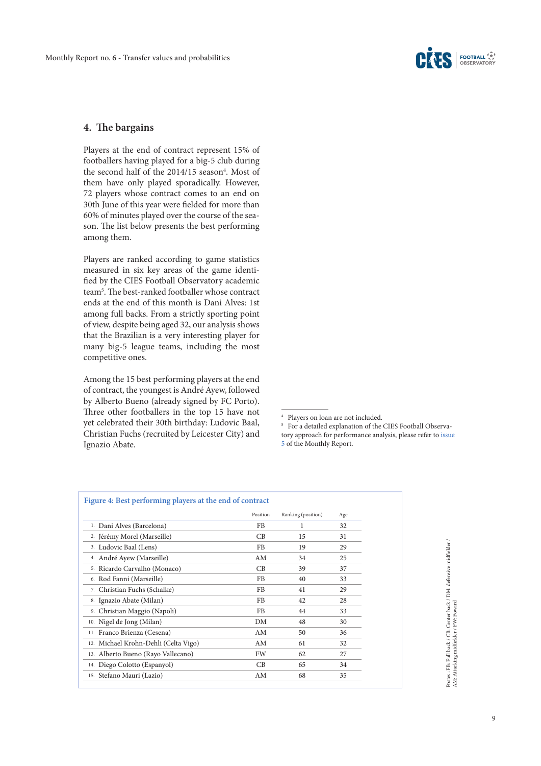

### **4. The bargains**

Players at the end of contract represent 15% of footballers having played for a big-5 club during the second half of the  $2014/15$  season<sup>4</sup>. Most of them have only played sporadically. However, 72 players whose contract comes to an end on 30th June of this year were fielded for more than 60% of minutes played over the course of the season. The list below presents the best performing among them.

Players are ranked according to game statistics measured in six key areas of the game identified by the CIES Football Observatory academic team5 . The best-ranked footballer whose contract ends at the end of this month is Dani Alves: 1st among full backs. From a strictly sporting point of view, despite being aged 32, our analysis shows that the Brazilian is a very interesting player for many big-5 league teams, including the most competitive ones.

Among the 15 best performing players at the end of contract, the youngest is André Ayew, followed by Alberto Bueno (already signed by FC Porto). Three other footballers in the top 15 have not yet celebrated their 30th birthday: Ludovic Baal, Christian Fuchs (recruited by Leicester City) and Ignazio Abate.

|                                      | Position | Ranking (position) | Age |
|--------------------------------------|----------|--------------------|-----|
| 1. Dani Alves (Barcelona)            | FB       | 1                  | 32  |
| 2. Jérémy Morel (Marseille)          | CB       | 15                 | 31  |
| 3. Ludovic Baal (Lens)               | FB       | 19                 | 29  |
| 4. André Ayew (Marseille)            | AM       | 34                 | 25  |
| 5. Ricardo Carvalho (Monaco)         | CB       | 39                 | 37  |
| 6. Rod Fanni (Marseille)             | FB       | 40                 | 33  |
| 7. Christian Fuchs (Schalke)         | FB       | 41                 | 29  |
| 8. Ignazio Abate (Milan)             | FB       | 42                 | 28  |
| 9. Christian Maggio (Napoli)         | FB       | 44                 | 33  |
| 10. Nigel de Jong (Milan)            | DM       | 48                 | 30  |
| 11. Franco Brienza (Cesena)          | AM       | 50                 | 36  |
| 12. Michael Krohn-Dehli (Celta Vigo) | AM       | 61                 | 32  |
| 13. Alberto Bueno (Rayo Vallecano)   | FW       | 62                 | 27  |
| 14. Diego Colotto (Espanyol)         | CB       | 65                 | 34  |
| 15. Stefano Mauri (Lazio)            | AM       | 68                 | 35  |

Postes : FB: Full back / CB: Center back / DM: defensive midfielder / AM: Attacking midfielder / FW: Foward Postes : FB: Full back / CB: Center back / DM: defensive midfielder / AM: Attacking midfielder / FW: Foward

<sup>4</sup> Players on loan are not included.

<sup>5</sup> For a detailed explanation of the CIES Football Observatory approach for performance analysis, please refer to [issue](http://www.football-observatory.com/IMG/pdf/mr05_eng.pdf)  [5](http://www.football-observatory.com/IMG/pdf/mr05_eng.pdf) of the Monthly Report.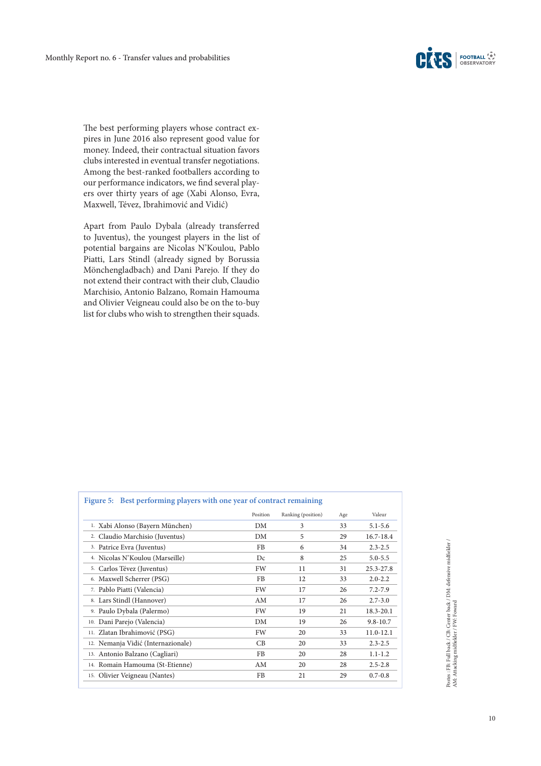The best performing players whose contract expires in June 2016 also represent good value for money. Indeed, their contractual situation favors clubs interested in eventual transfer negotiations. Among the best-ranked footballers according to our performance indicators, we find several players over thirty years of age (Xabi Alonso, Evra, Maxwell, Tévez, Ibrahimović and Vidić)

Apart from Paulo Dybala (already transferred to Juventus), the youngest players in the list of potential bargains are Nicolas N'Koulou, Pablo Piatti, Lars Stindl (already signed by Borussia Mönchengladbach) and Dani Parejo. If they do not extend their contract with their club, Claudio Marchisio, Antonio Balzano, Romain Hamouma and Olivier Veigneau could also be on the to-buy list for clubs who wish to strengthen their squads.

|                                    | Position  | Ranking (position) | Age | Valeur        |
|------------------------------------|-----------|--------------------|-----|---------------|
| 1. Xabi Alonso (Bayern München)    | DM        | 3                  | 33  | $5.1 - 5.6$   |
| 2. Claudio Marchisio (Juventus)    | DM        | 5                  | 29  | 16.7-18.4     |
| 3. Patrice Evra (Juventus)         | FB        | 6                  | 34  | $2.3 - 2.5$   |
| 4. Nicolas N'Koulou (Marseille)    | Dc        | 8                  | 25  | $5.0 - 5.5$   |
| 5. Carlos Tévez (Juventus)         | FW        | 11                 | 31  | 25.3-27.8     |
| 6. Maxwell Scherrer (PSG)          | FB        | 12                 | 33  | $2.0 - 2.2$   |
| 7. Pablo Piatti (Valencia)         | FW        | 17                 | 26  | $7.2 - 7.9$   |
| 8. Lars Stindl (Hannover)          | AM        | 17                 | 26  | $2.7 - 3.0$   |
| 9. Paulo Dybala (Palermo)          | <b>FW</b> | 19                 | 21  | $18.3 - 20.1$ |
| 10. Dani Parejo (Valencia)         | DM        | 19                 | 26  | $9.8 - 10.7$  |
| 11. Zlatan Ibrahimović (PSG)       | FW        | 20                 | 33  | $11.0 - 12.1$ |
| 12. Nemanja Vidić (Internazionale) | CB        | 20                 | 33  | $2.3 - 2.5$   |
| 13. Antonio Balzano (Cagliari)     | FB        | 20                 | 28  | $1.1 - 1.2$   |
| 14. Romain Hamouma (St-Etienne)    | AM        | 20                 | 28  | $2.5 - 2.8$   |
| 15. Olivier Veigneau (Nantes)      | FB        | 21                 | 29  | $0.7 - 0.8$   |

Postes : FB: Full back / CB: Center back / DM: defensive midfielder / AM: Attacking midfielder / FW: Foward Postes : FB: Full back / CB: Center back / DM: defensive midfielder / AM: Attacking midfielder / FW: Foward